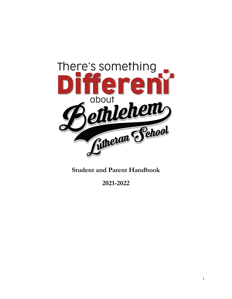

# **Student and Parent Handbook**

**2021-2022**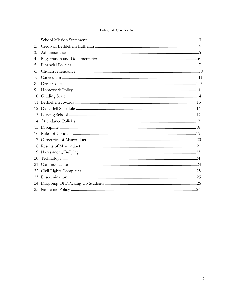# **Table of Contents**

| 1. |  |
|----|--|
| 2. |  |
| 3. |  |
| 4. |  |
| 5. |  |
| 6. |  |
| 7. |  |
| 8. |  |
| 9. |  |
|    |  |
|    |  |
|    |  |
|    |  |
|    |  |
|    |  |
|    |  |
|    |  |
|    |  |
|    |  |
|    |  |
|    |  |
|    |  |
|    |  |
|    |  |
|    |  |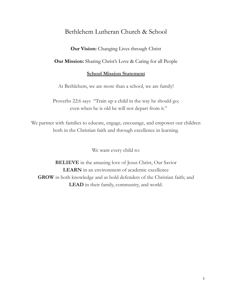# Bethlehem Lutheran Church & School

**Our Vision:** Changing Lives through Christ

**Our Mission:** Sharing Christ's Love & Caring for all People

## **School Mission Statement**

At Bethlehem, we are more than a school, we are family!

Proverbs 22:6 says "Train up a child in the way he should go; even when he is old he will not depart from it."

We partner with families to educate, engage, encourage, and empower our children both in the Christian faith and through excellence in learning.

We want every child to:

**BELIEVE** in the amazing love of Jesus Christ, Our Savior **LEARN** in an environment of academic excellence **GROW** in both knowledge and as bold defenders of the Christian faith; and **LEAD** in their family, community, and world.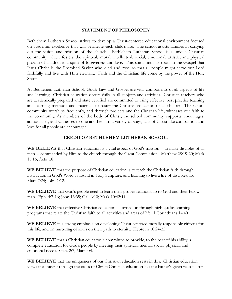## **STATEMENT OF PHILOSOPHY**

Bethlehem Lutheran School strives to develop a Christ-centered educational environment focused on academic excellence that will permeate each child's life. The school assists families in carrying out the vision and mission of the church. Bethlehem Lutheran School is a unique Christian community which fosters the spiritual, moral, intellectual, social, emotional, artistic, and physical growth of children in a spirit of forgiveness and love. This spirit finds its roots in the Gospel that Jesus Christ is the Promised Savior who died and rose so that all people might serve our Lord faithfully and live with Him eternally. Faith and the Christian life come by the power of the Holy Spirit.

At Bethlehem Lutheran School, God's Law and Gospel are vital components of all aspects of life and learning. Christian education occurs daily in all subjects and activities. Christian teachers who are academically prepared and state certified are committed to using effective, best practice teaching and learning methods and materials to foster the Christian education of all children. The school community worships frequently, and through projects and the Christian life, witnesses our faith to the community. As members of the body of Christ, the school community, supports, encourages, admonishes, and witnesses to one another. In a variety of ways, acts of Christ-like compassion and love for all people are encouraged.

## **CREDO OF BETHLEHEM LUTHERAN SCHOOL**

**WE BELIEVE** that Christian education is a vital aspect of God's mission -- to make disciples of all men -- commanded by Him to the church through the Great Commission. Matthew 28:19-20; Mark 16:16; Acts 1:8

**WE BELIEVE** that the purpose of Christian education is to teach the Christian faith through instruction in God's Word as found in Holy Scripture, and learning to live a life of discipleship. Matt. 7:24; John 1:12.

**WE BELIEVE** that God's people need to learn their proper relationship to God and their fellow man. Eph. 4:7-16; John 13:35; Gal. 6:10; Mark 10:42:44

**WE BELIEVE** that effective Christian education is carried on through high quality learning programs that relate the Christian faith to all activities and areas of life. I Corinthians 14:40

**WE BELIEVE** in a strong emphasis on developing Christ centered morally responsible citizens for this life, and on nurturing of souls on their path to eternity. Hebrews 10:24-25

**WE BELIEVE** that a Christian educator is committed to provide, to the best of his ability, a complete education for God's people by meeting their spiritual, mental, social, physical, and emotional needs. Gen. 2:7, Matt. 4:4.

**WE BELIEVE** that the uniqueness of our Christian education rests in this: Christian education views the student through the cross of Christ; Christian education has the Father's given reasons for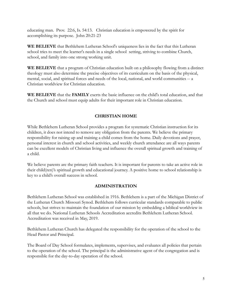educating man. Prov. 22:6, Is. 54:13. Christian education is empowered by the spirit for accomplishing its purpose. John 20:21-23

**WE BELIEVE** that Bethlehem Lutheran School's uniqueness lies in the fact that this Lutheran school tries to meet the learner's needs in a single school setting, striving to combine Church, school, and family into one strong working unit.

**WE BELIEVE** that a program of Christian education built on a philosophy flowing from a distinct theology must also determine the precise objectives of its curriculum on the basis of the physical, mental, social, and spiritual forces and needs of the local, national, and world communities -- a Christian worldview for Christian education.

**WE BELIEVE** that the **FAMILY** exerts the basic influence on the child's total education, and that the Church and school must equip adults for their important role in Christian education.

# **CHRISTIAN HOME**

While Bethlehem Lutheran School provides a program for systematic Christian instruction for its children, it does not intend to remove any obligation from the parents. We believe the primary responsibility for raising up and training a child comes from the home. Daily devotions and prayer, personal interest in church and school activities, and weekly church attendance are all ways parents can be excellent models of Christian living and influence the overall spiritual growth and training of a child.

We believe parents are the primary faith teachers. It is important for parents to take an active role in their child(ren)'s spiritual growth and educational journey. A positive home to school relationship is key to a child's overall success in school.

# **ADMINISTRATION**

Bethlehem Lutheran School was established in 1916. Bethlehem is a part of the Michigan District of the Lutheran Church Missouri Synod. Bethlehem follows curricular standards comparable to public schools, but strives to maintain the foundation of our mission by embedding a biblical worldview in all that we do. National Lutheran Schools Accreditation accredits Bethlehem Lutheran School. Accreditation was received in May, 2019.

Bethlehem Lutheran Church has delegated the responsibility for the operation of the school to the Head Pastor and Principal.

The Board of Day School formulates, implements, supervises, and evaluates all policies that pertain to the operation of the school. The principal is the administrative agent of the congregation and is responsible for the day-to-day operation of the school.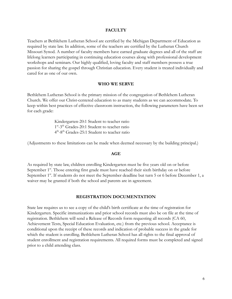#### **FACULTY**

Teachers at Bethlehem Lutheran School are certified by the Michigan Department of Education as required by state law. In addition, some of the teachers are certified by the Lutheran Church Missouri Synod. A number of faculty members have earned graduate degrees and all of the staff are lifelong learners participating in continuing education courses along with professional development workshops and seminars. Our highly qualified, loving faculty and staff members possess a true passion for sharing the gospel through Christian education. Every student is treated individually and cared for as one of our own.

#### **WHO WE SERVE**

Bethlehem Lutheran School is the primary mission of the congregation of Bethlehem Lutheran Church. We offer our Christ-centered education to as many students as we can accommodate. To keep within best practices of effective classroom instruction, the following parameters have been set for each grade:

> Kindergarten-20:1 Student to teacher ratio 1<sup>st</sup>-3<sup>th</sup> Grades-20:1 Student to teacher ratio 4 th -8th Grades-25:1 Student to teacher ratio

(Adjustments to these limitations can be made when deemed necessary by the building principal.)

#### **AGE**

As required by state law, children enrolling Kindergarten must be five years old on or before September 1<sup>st</sup>. Those entering first grade must have reached their sixth birthday on or before September 1<sup>st</sup>. If students do not meet the September deadline but turn 5 or 6 before December 1, a waiver may be granted if both the school and parents are in agreement.

#### **REGISTRATION DOCUMENTATION**

State law requires us to see a copy of the child's birth certificate at the time of registration for Kindergarten. Specific immunizations and prior school records must also be on file at the time of registration. Bethlehem will send a Release of Records form requesting all records (CA 60, Achievement Tests, Special Education Evaluation, etc.) from the previous school. Acceptance is conditional upon the receipt of these records and indication of probable success in the grade for which the student is enrolling. Bethlehem Lutheran School has all rights to the final approval of student enrollment and registration requirements. All required forms must be completed and signed prior to a child attending class.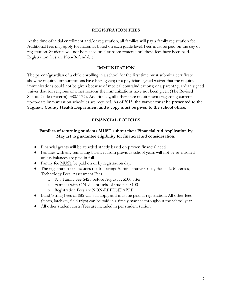## **REGISTRATION FEES**

At the time of initial enrollment and/or registration, all families will pay a family registration fee. Additional fees may apply for materials based on each grade level. Fees must be paid on the day of registration. Students will not be placed on classroom rosters until these fees have been paid. Registration fees are Non-Refundable.

## **IMMUNIZATION**

The parent/guardian of a child enrolling in a school for the first time must submit a certificate showing required immunizations have been given; or a physician-signed waiver that the required immunizations could not be given because of medical contraindications; or a parent/guardian signed waiver that for religious or other reasons the immunizations have not been given (The Revised School Code (Excerpt), 380.1177). Additionally, all other state requirements regarding current up-to-date immunization schedules are required. **As of 2015, the waiver must be presented to the Saginaw County Health Department and a copy must be given to the school office.**

### **FINANCIAL POLICIES**

## **Families of returning students MUST submit their Financial Aid Application by May 1st to guarantee eligibility for financial aid consideration.**

- Financial grants will be awarded strictly based on proven financial need.
- Families with any remaining balances from previous school years will not be re-enrolled unless balances are paid in full.
- Family fee MUST be paid on or by registration day.
- The registration fee includes the following: Administrative Costs, Books & Materials, Technology Fees, Assessment Fees
	- o K-8 Family Fee-\$425 before August 1, \$500 after
	- o Families with ONLY a preschool student- \$100
	- o Registration Fees are NON-REFUNDABLE
- Band/String Fees of \$85 will still apply and must be paid at registration. All other fees (lunch, latchkey, field trips) can be paid in a timely manner throughout the school year.
- All other student costs/fees are included in per student tuition.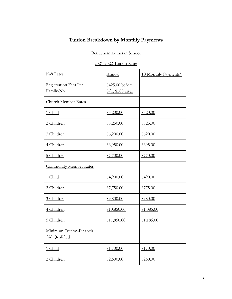# **Tuition Breakdown by Monthly Payments**

# Bethlehem Lutheran School

# 2021-2022 Tuition Rates

| K-8 Rates                                  | Annual                              | 10 Monthly Payments* |
|--------------------------------------------|-------------------------------------|----------------------|
| Registration Fees Per<br>Family-No         | \$425.00 before<br>8/1, \$500 after |                      |
| Church Member Rates                        |                                     |                      |
| 1 Child                                    | \$3,200.00                          | \$320.00             |
| 2 Children                                 | \$5,250.00                          | \$525.00             |
| 3 Children                                 | \$6,200.00                          | \$620.00             |
| 4 Children                                 | \$6,950.00                          | \$695.00             |
| 5 Children                                 | \$7,700.00                          | \$770.00             |
| <b>Community Member Rates</b>              |                                     |                      |
| 1 Child                                    | \$4,900.00                          | \$490.00             |
| 2 Children                                 | \$7,750.00                          | \$775.00             |
| 3 Children                                 | \$9,800.00                          | \$980.00             |
| 4 Children                                 | \$10,850.00                         | \$1,085.00           |
| 5 Children                                 | \$11,850.00                         | \$1,185.00           |
| Minimum Tuition-Financial<br>Aid Qualified |                                     |                      |
| 1 Child                                    | \$1,700.00                          | \$170.00             |
| 2 Children                                 | \$2,600.00                          | \$260.00             |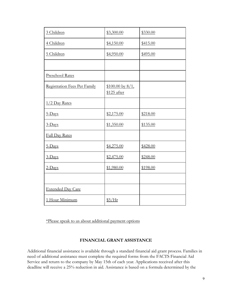| 3 Children                   | \$3,300.00                          | \$330.00 |
|------------------------------|-------------------------------------|----------|
| 4 Children                   | \$4,150.00                          | \$415.00 |
| 5 Children                   | \$4,950.00                          | \$495.00 |
|                              |                                     |          |
| Preschool Rates              |                                     |          |
| Registration Fees Per Family | $$100.00$ by $8/1$ ,<br>\$125 after |          |
| $1/2$ Day Rates              |                                     |          |
| 5-Days                       | \$2,175.00                          | \$218.00 |
| 3-Days                       | \$1,350.00                          | \$135.00 |
| <b>Full Day Rates</b>        |                                     |          |
| 5-Days                       | \$4,275.00                          | \$428.00 |
| $3$ -Days                    | \$2,475.00                          | \$248.00 |
| $2$ -Days                    | \$1,980.00                          | \$198.00 |
|                              |                                     |          |
| <b>Extended Day Care</b>     |                                     |          |
| 1 Hour Minimum               | $$5/$ Hr                            |          |

\*Please speak to us about additional payment options

## **FINANCIAL GRANT ASSISTANCE**

Additional financial assistance is available through a standard financial aid grant process. Families in need of additional assistance must complete the required forms from the FACTS Financial Aid Service and return to the company by May 15th of each year. Applications received after this deadline will receive a 25% reduction in aid. Assistance is based on a formula determined by the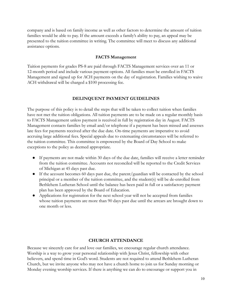company and is based on family income as well as other factors to determine the amount of tuition families would be able to pay. If the amount exceeds a family's ability to pay, an appeal may be presented to the tuition committee in writing. The committee will meet to discuss any additional assistance options.

#### **FACTS Management**

Tuition payments for grades PS-8 are paid through FACTS Management services over an 11 or 12-month period and include various payment options. All families must be enrolled in FACTS Management and signed up for ACH payments on the day of registration. Families wishing to waive ACH withdrawal will be charged a \$100 processing fee.

## **DELINQUENT PAYMENT GUIDELINES**

The purpose of this policy is to detail the steps that will be taken to collect tuition when families have not met the tuition obligations. All tuition payments are to be made on a regular monthly basis to FACTS Management unless payment is received in full by registration day in August. FACTS Management contacts families by email and/or telephone if a payment has been missed and assesses late fees for payments received after the due date. On-time payments are imperative to avoid accruing large additional fees. Special appeals due to extenuating circumstances will be referred to the tuition committee. This committee is empowered by the Board of Day School to make exceptions to the policy as deemed appropriate.

- If payments are not made within 30 days of the due date, families will receive a letter reminder from the tuition committee. Accounts not reconciled will be reported to the Credit Services of Michigan at 45 days past due.
- $\bullet$  If the account becomes 60 days past due, the parent/guardian will be contacted by the school principal or a member of the tuition committee, and the student(s) will be de-enrolled from Bethlehem Lutheran School until the balance has been paid in full or a satisfactory payment plan has been approved by the Board of Education.
- Applications for registration for the next school year will not be accepted from families whose tuition payments are more than 90 days past due until the arrears are brought down to one month or less.

#### **CHURCH ATTENDANCE**

Because we sincerely care for and love our families, we encourage regular church attendance. Worship is a way to grow your personal relationship with Jesus Christ, fellowship with other believers, and spend time in God's word. Students are not required to attend Bethlehem Lutheran Church, but we invite anyone who may not have a church home to join us for Sunday morning or Monday evening worship services. If there is anything we can do to encourage or support you in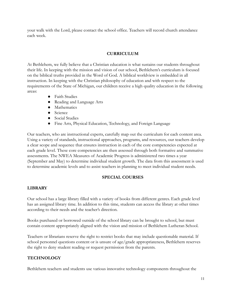your walk with the Lord, please contact the school office. Teachers will record church attendance each week.

# **CURRICULUM**

At Bethlehem, we fully believe that a Christian education is what sustains our students throughout their life. In keeping with the mission and vision of our school, Bethlehem's curriculum is focused on the biblical truths provided in the Word of God. A biblical worldview is embedded in all instruction. In keeping with the Christian philosophy of education and with respect to the requirements of the State of Michigan, our children receive a high quality education in the following areas:

- Faith Studies
- Reading and Language Arts
- Mathematics
- Science
- Social Studies
- Fine Arts, Physical Education, Technology, and Foreign Language

Our teachers, who are instructional experts, carefully map out the curriculum for each content area. Using a variety of standards, instructional approaches, programs, and resources, our teachers develop a clear scope and sequence that ensures instruction in each of the core competencies expected at each grade level. These core competencies are then assessed through both formative and summative assessments. The NWEA Measures of Academic Progress is administered two times a year (September and May) to determine individual student growth. The data from this assessment is used to determine academic levels and to assist teachers in planning to meet individual student needs.

# **SPECIAL COURSES**

# **LIBRARY**

Our school has a large library filled with a variety of books from different genres. Each grade level has an assigned library time. In addition to this time, students can access the library at other times according to their needs and the teacher's direction.

Books purchased or borrowed outside of the school library can be brought to school, but must contain content appropriately aligned with the vision and mission of Bethlehem Lutheran School.

Teachers or librarians reserve the right to restrict books that may include questionable material. If school personnel questions content or is unsure of age/grade appropriateness, Bethlehem reserves the right to deny student reading or request permission from the parents.

# **TECHNOLOGY**

Bethlehem teachers and students use various innovative technology components throughout the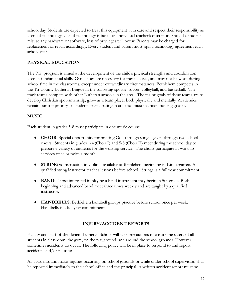school day. Students are expected to treat this equipment with care and respect their responsibility as users of technology. Use of technology is based on individual teacher's discretion. Should a student misuse any hardware or software, loss of privileges will occur. Parents may be charged for replacement or repair accordingly. Every student and parent must sign a technology agreement each school year.

# **PHYSICAL EDUCATION**

The P.E. program is aimed at the development of the child's physical strengths and coordination used in fundamental skills. Gym shoes are necessary for these classes, and may not be worn during school time in the classrooms, except under extraordinary circumstances. Bethlehem competes in the Tri-County Lutheran League in the following sports: soccer, volleyball, and basketball. The track teams compete with other Lutheran schools in the area. The major goals of these teams are to develop Christian sportsmanship, grow as a team player both physically and mentally. Academics remain our top priority, so students participating in athletics must maintain passing grades.

# **MUSIC**

Each student in grades 5-8 must participate in one music course.

- **CHOIR:** Special opportunity for praising God through song is given through two school choirs. Students in grades 1-4 (Choir I) and 5-8 (Choir II) meet during the school day to prepare a variety of anthems for the worship service. The choirs participate in worship services once or twice a month.
- **STRINGS:** Instruction in violin is available at Bethlehem beginning in Kindergarten. A qualified string instructor teaches lessons before school. Strings is a full year commitment.
- **BAND:** Those interested in playing a band instrument may begin in 5th grade. Both beginning and advanced band meet three times weekly and are taught by a qualified instructor.
- **HANDBELLS:** Bethlehem handbell groups practice before school once per week. Handbells is a full year commitment.

# **INJURY/ACCIDENT REPORTS**

Faculty and staff of Bethlehem Lutheran School will take precautions to ensure the safety of all students in classroom, the gym, on the playground, and around the school grounds. However, sometimes accidents do occur. The following policy will be in place to respond to and report accidents and/or injuries:

All accidents and major injuries occurring on school grounds or while under school supervision shall be reported immediately to the school office and the principal. A written accident report must be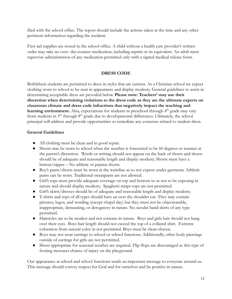filed with the school office. The report should include the actions taken at the time and any other pertinent information regarding the incident.

First aid supplies are stored in the school office. A child without a health care provider's written order may take no over- the-counter medication, including aspirin or its equivalent. An adult must supervise administration of any medication permitted only with a signed medical release form.

# **DRESS CODE**

Bethlehem students are permitted to dress in styles that are current. As a Christian school we expect clothing worn to school to be neat in appearance and display modesty. General guidelines to assist in determining acceptable dress are provided below. **Please note: Teachers' may use their discretion when determining violations to the dress code as they are the ultimate experts on classroom climate and dress code infractions that negatively impact the teaching and learning environment.** Also, expectations for students in preschool through 4<sup>th</sup> grade may vary from students in  $5<sup>th</sup>$  through  $8<sup>th</sup>$  grade due to developmental differences. Ultimately, the school principal will address and provide opportunities to remediate any concerns related to student dress.

## **General Guidelines**

- All clothing must be clean and in good repair.
- Shorts may be worn to school when the weather is forecasted to be 60 degrees or warmer at the parent's discretion. Words or writing should not appear on the back of shorts and shorts should be of adequate and reasonable length and display modesty. Shorts must have a button/zipper – No athletic or pajama shorts.
- Boy's pants/shorts must be worn at the waistline as to not expose under garments. Athletic pants can be worn. Traditional sweatpants are not allowed.
- Girl's tops must provide adequate coverage on top and bottom so as not to be exposing in nature and should display modesty. Spaghetti straps tops are not permitted.
- Girl's skirts/dresses should be of adequate and reasonable length and display modesty.
- T-shirts and tops of all types should have an over the shoulder cut. They may contain pictures, logos, and wording (except chapel day) but they must not be objectionable, inappropriate, demeaning, or derogatory in nature. No secular band shirts of any type permitted.
- Hairstyles are to be modest and not extreme in nature. Boys and girls hair should not hang over their eyes. Boys hair length should not exceed the top of a collared shirt. Extreme coloration from natural color in not permitted. Boys must be clean-shaven.
- Boys may not wear earrings to school or school functions. Additionally, other body piercings outside of earrings for girls are not permitted.
- Shoes appropriate for seasonal weather are required. Flip flops are discouraged as this type of footing increases chance of injury on the playground.

Our appearance at school and school functions sends an important message to everyone around us. This message should convey respect for God and for ourselves and be positive in nature.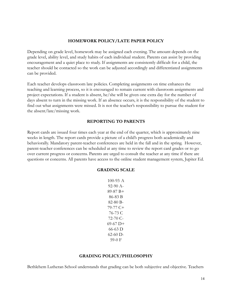#### **HOMEWORK POLICY/LATE PAPER POLICY**

Depending on grade level, homework may be assigned each evening. The amount depends on the grade level, ability level, and study habits of each individual student. Parents can assist by providing encouragement and a quiet place to study. If assignments are consistently difficult for a child, the teacher should be contacted so the work can be adjusted accordingly and differentiated assignments can be provided.

Each teacher develops classroom late policies. Completing assignments on time enhances the teaching and learning process, so it is encouraged to remain current with classroom assignments and project expectations. If a student is absent, he/she will be given one extra day for the number of days absent to turn in the missing work. If an absence occurs, it is the responsibility of the student to find out what assignments were missed. It is not the teacher's responsibility to pursue the student for the absent/late/missing work.

#### **REPORTING TO PARENTS**

Report cards are issued four times each year at the end of the quarter, which is approximately nine weeks in length. The report cards provide a picture of a child's progress both academically and behaviorally. Mandatory parent-teacher conferences are held in the fall and in the spring. However, parent-teacher conferences can be scheduled at any time to review the report card grades or to go over current progress or concerns. Parents are urged to consult the teacher at any time if there are questions or concerns. All parents have access to the online student management system, Jupiter Ed.

#### **GRADING SCALE**

100-93 A 92-90 A-89-87 B+ 86-83 B 82-80 B-79-77 C+ 76-73 C 72-70 C-69-67 D+ 66-63 D 62-60 D-59-0 F

#### **GRADING POLICY/PHILOSOPHY**

Bethlehem Lutheran School understands that grading can be both subjective and objective. Teachers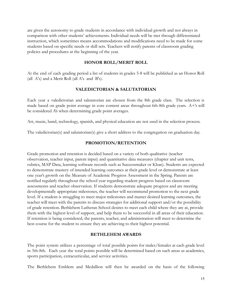are given the autonomy to grade students in accordance with individual growth and not always in comparison with other students' achievements. Individual needs will be met through differentiated instruction, which sometimes means accommodations and modifications need to be made for some students based on specific needs or skill sets. Teachers will notify parents of classroom grading policies and procedures at the beginning of the year.

### **HONOR ROLL/MERIT ROLL**

At the end of each grading period a list of students in grades 5-8 will be published as an Honor Roll (all A's) and a Merit Roll (all A's and B's).

### **VALEDICTORIAN & SALUTATORIAN**

Each year a valedictorian and salutatorian are chosen from the 8th grade class. The selection is made based on grade point average in core content areas throughout 6th-8th grade years. A+'s will be considered A's when determining grade point averages.

Art, music, band, technology, spanish, and physical education are not used in the selection process.

The valedictorian(s) and salutatorian(s) give a short address to the congregation on graduation day.

### **PROMOTION/RETENTION**

Grade promotion and retention is decided based on a variety of both qualitative (teacher observation, teacher input, parent input) and quantitative data measures (chapter and unit tests, rubrics, MAP Data, learning software records such as Successmaker or Khan). Students are expected to demonstrate mastery of intended learning outcomes at their grade level or demonstrate at least one year's growth on the Measure of Academic Progress Assessment in the Spring. Parents are notified regularly throughout the school year regarding student progress based on classroom assessments and teacher observation. If students demonstrate adequate progress and are meeting developmentally appropriate milestones, the teacher will recommend promotion to the next grade level. If a student is struggling to meet major milestones and master desired learning outcomes, the teacher will meet with the parents to discuss strategies for additional support and/or the possibility of grade retention. Bethlehem Lutheran School desires to meet each child where they are at, provide them with the highest level of support, and help them to be successful in all areas of their education. If retention is being considered, the parents, teacher, and administration will meet to determine the best course for the student to ensure they are achieving to their highest potential.

### **BETHLEHEM AWARDS**

The point system utilizes a percentage of total possible points for males/females at each grade level in 5th-8th. Each year the total points possible will be determined based on such areas as academics, sports participation, extracurricular, and service activities.

The Bethlehem Emblem and Medallion will then be awarded on the basis of the following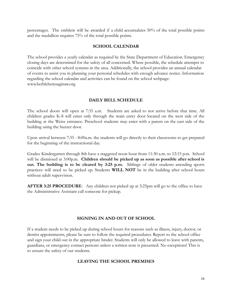percentages. The emblem will be awarded if a child accumulates 50% of the total possible points and the medallion requires 75% of the total possible points.

## **SCHOOL CALENDAR**

The school provides a yearly calendar as required by the State Department of Education. Emergency closing days are determined for the safety of all concerned. Where possible, the schedule attempts to coincide with other school systems in the area. Additionally, the school provides an annual calendar of events to assist you in planning your personal schedules with enough advance notice. Information regarding the school calendar and activities can be found on the school webpage: www.bethlehemsaginaw.org

## **DAILY BELL SCHEDULE**

The school doors will open at 7:35 a.m. Students are asked to not arrive before that time. All children grades K-8 will enter only through the main entry door located on the west side of the building at the Weiss entrance. Preschool students may enter with a parent on the east side of the building using the buzzer door.

Upon arrival between 7:35 - 8:00a.m. the students will go directly to their classrooms to get prepared for the beginning of the instructional day.

Grades Kindergarten through 8th have a staggered noon hour from 11:30 a.m. to 12:15 p.m. School will be dismissed at 3:00p.m. **Children should be picked up as soon as possible after school is out. The building is to be cleared by 3:25 p.m.** Siblings of older students attending sports practices will need to be picked up. Students **WILL NOT** be in the building after school hours without adult supervision.

**AFTER 3:25 PROCEDURE**: Any children not picked up at 3:25pm will go to the office to have the Administrative Assistant call someone for pickup.

## **SIGNING IN AND OUT OF SCHOOL**

If a student needs to be picked up during school hours for reasons such as illness, injury, doctor, or dentist appointments, please be sure to follow the required procedures. Report to the school office and sign your child out in the appropriate binder. Students will only be allowed to leave with parents, guardians, or emergency contact persons unless a written note is presented. No exceptions! This is to ensure the safety of our students.

## **LEAVING THE SCHOOL PREMISES**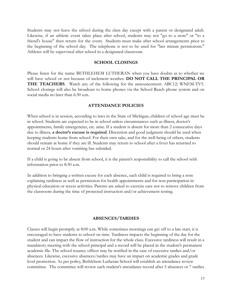Students may not leave the school during the class day except with a parent or designated adult. Likewise, if an athletic event takes place after school, students may not "go to a store" or "to a friend's house" then return for the event. Students must make after school arrangements prior to the beginning of the school day. The telephone is not to be used for "last minute permissions." Athletes will be supervised after school in a designated classroom.

#### **SCHOOL CLOSINGS**

Please listen for the name BETHLEHEM LUTHERAN when you have doubts as to whether we will have school or not because of inclement weather. **DO NOT CALL THE PRINCIPAL OR THE TEACHERS**. Watch any of the following for the announcement: ABC12; WNEM-TV5. School closings will also be broadcast to home phones via the School Reach phone system and on social media no later than 6:30 a.m.

#### **ATTENDANCE POLICIES**

When school is in session, according to laws in the State of Michigan, children of school age must be in school. Students are expected to be in school unless circumstances such as illness, doctor's appointments, family emergencies, etc. arise. If a student is absent for more than 2 consecutive days due to illness, **a doctor's excuse is required**. Discretion and good judgment should be used when keeping students home from school. For their own sake, and for the well-being of others, students should remain at home if they are ill. Students may return to school after a fever has returned to normal or 24 hours after vomiting has subsided.

If a child is going to be absent from school, it is the parent's responsibility to call the school with information prior to 8:30 a.m.

In addition to bringing a written excuse for each absence, each child is required to bring a note explaining tardiness as well as permission for health appointments and for non-participation in physical education or recess activities. Parents are asked to exercise care not to remove children from the classroom during the time of protected instruction and/or achievement testing.

#### **ABSENCES/TARDIES**

Classes will begin promptly at 8:00 a.m. While sometimes mornings can get off to a late start, it is encouraged to have students to school on time. Tardiness impacts the beginning of the day for the student and can impact the flow of instruction for the whole class. Excessive tardiness will result in a mandatory meeting with the school principal and a record will be placed in the student's permanent academic file. The school truancy officer may be notified in the case of excessive tardies and/or absences. Likewise, excessive absences/tardies may have an impact on academic grades and grade level promotion. As per policy, Bethlehem Lutheran School will establish an attendance review committee. The committee will review each student's attendance record after 5 absences or 7 tardies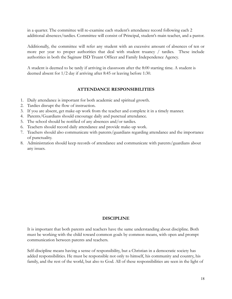in a quarter. The committee will re-examine each student's attendance record following each 2 additional absences/tardies. Committee will consist of Principal, student's main teacher, and a pastor.

Additionally, the committee will refer any student with an excessive amount of absences of ten or more per year to proper authorities that deal with student truancy / tardies. These include authorities in both the Saginaw ISD Truant Officer and Family Independence Agency.

A student is deemed to be tardy if arriving in classroom after the 8:00 starting time. A student is deemed absent for 1/2 day if arriving after 8:45 or leaving before 1:30.

## **ATTENDANCE RESPONSIBILITIES**

- 1. Daily attendance is important for both academic and spiritual growth.
- 2. Tardies disrupt the flow of instruction.
- 3. If you are absent, get make-up work from the teacher and complete it in a timely manner.
- 4. Parents/Guardians should encourage daily and punctual attendance.
- 5. The school should be notified of any absences and/or tardies.
- 6. Teachers should record daily attendance and provide make-up work.
- 7. Teachers should also communicate with parents/guardians regarding attendance and the importance of punctuality.
- 8. Administration should keep records of attendance and communicate with parents/guardians about any issues.

## **DISCIPLINE**

It is important that both parents and teachers have the same understanding about discipline. Both must be working with the child toward common goals by common means, with open and prompt communication between parents and teachers.

Self-discipline means having a sense of responsibility, but a Christian in a democratic society has added responsibilities. He must be responsible not only to himself, his community and country, his family, and the rest of the world, but also to God. All of these responsibilities are seen in the light of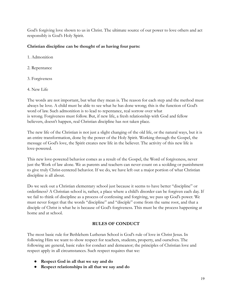God's forgiving love shown to us in Christ. The ultimate source of our power to love others and act responsibly is God's Holy Spirit.

## **Christian discipline can be thought of as having four parts:**

- 1. Admonition
- 2. Repentance
- 3. Forgiveness
- 4. New Life

The words are not important, but what they mean is. The reason for each step and the method must always be love. A child must be able to see what he has done wrong; this is the function of God's word of law. Such admonition is to lead to repentance, real sorrow over what is wrong. Forgiveness must follow. But, if new life, a fresh relationship with God and fellow believers, doesn't happen, real Christian discipline has not taken place.

The new life of the Christian is not just a slight changing of the old life, or the natural ways, but it is an entire transformation, done by the power of the Holy Spirit. Working through the Gospel, the message of God's love, the Spirit creates new life in the believer. The activity of this new life is love-powered.

This new love-powered behavior comes as a result of the Gospel, the Word of forgiveness, never just the Work of law alone. We as parents and teachers can never count on a scolding or punishment to give truly Christ-centered behavior. If we do, we have left out a major portion of what Christian discipline is all about.

Do we seek out a Christian elementary school just because it seems to have better "discipline" or orderliness? A Christian school is, rather, a place where a child's disorder can be forgiven each day. If we fail to think of discipline as a process of confessing and forgiving, we pass up God's power. We must never forget that the words "discipline" and "disciple" come from the same root, and that a disciple of Christ is what he is because of God's forgiveness. This must be the process happening at home and at school.

# **RULES OF CONDUCT**

The most basic rule for Bethlehem Lutheran School is God's rule of love in Christ Jesus. In following Him we want to show respect for teachers, students, property, and ourselves. The following are general, basic rules for conduct and demeanor; the principles of Christian love and respect apply in all circumstances. Such respect requires that we:

- **● Respect God in all that we say and do**
- **● Respect relationships in all that we say and do**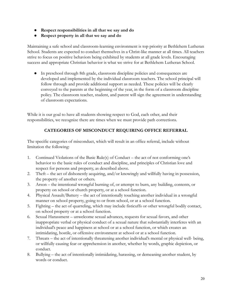- **● Respect responsibilities in all that we say and do**
- **● Respect property in all that we say and do**

Maintaining a safe school and classroom-learning environment is top priority at Bethlehem Lutheran School. Students are expected to conduct themselves in a Christ-like manner at all times. All teachers strive to focus on positive behaviors being exhibited by students at all grade levels. Encouraging success and appropriate Christian behavior is what we strive for at Bethlehem Lutheran School.

● In preschool through 8th grade, classroom discipline policies and consequences are developed and implemented by the individual classroom teachers. The school principal will follow through and provide additional support as needed. These policies will be clearly conveyed to the parents at the beginning of the year, in the form of a classroom discipline policy. The classroom teacher, student, and parent will sign the agreement in understanding of classroom expectations.

While it is our goal to have all students showing respect to God, each other, and their responsibilities, we recognize there are times when we must provide path corrections.

# **CATEGORIES OF MISCONDUCT REQUIRING OFFICE REFERRAL**

The specific categories of misconduct, which will result in an office referral, include without limitation the following:

- 1. Continued Violations of the Basic Rule(s) of Conduct the act of not conforming one's behavior to the basic rules of conduct and discipline, and principles of Christian love and respect for persons and property, as described above.
- 2. Theft the act of dishonestly acquiring, and/or knowingly and willfully having in possession, the property of another or others.
- 3. Arson the intentional wrongful burning of, or attempt to burn, any building, contents, or property on school or church property, or at a school function.
- 4. Physical Assault/Battery the act of intentionally touching another individual in a wrongful manner on school property, going to or from school, or at a school function.
- 5. Fighting the act of quarreling, which may include fisticuffs or other wrongful bodily contact, on school property or at a school function.
- 6. Sexual Harassment unwelcome sexual advances, requests for sexual favors, and other inappropriate verbal or physical conduct of a sexual nature that substantially interferes with an individual's peace and happiness at school or at a school function, or which creates an intimidating, hostile, or offensive environment at school or at a school function.
- 7. Threats the act of intentionally threatening another individual's mental or physical well- being, or willfully causing fear or apprehension in another, whether by words, graphic depiction, or conduct.
- 8. Bullying the act of intentionally intimidating, harassing, or demeaning another student, by words or conduct.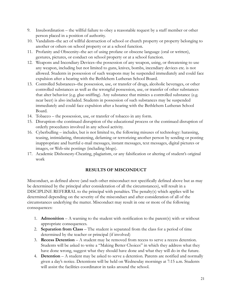- 9. Insubordination the willful failure to obey a reasonable request by a staff member or other person placed in a position of authority.
- 10. Vandalism–the act of willful destruction of school or church property or property belonging to another or others on school property or at a school function.
- 11. Profanity and Obscenity–the act of using profane or obscene language (oral or written), gestures, pictures, or conduct on school property or at a school function.
- 12. Weapons and Incendiary Devices–the possession of any weapon, using, or threatening to use any weapon, including but not limited to guns, knives, bombs, incendiary devices etc. is not allowed. Students in possession of such weapons may be suspended immediately and could face expulsion after a hearing with the Bethlehem Lutheran School Board.
- 13. Controlled Substances–the possession, use, or transfer of drugs, alcoholic beverages, or other controlled substances as well as the wrongful possession, use, or transfer of other substances that alter behavior (e.g. glue-sniffing). Any substance that mimics a controlled substance (e.g. near beer) is also included. Students in possession of such substances may be suspended immediately and could face expulsion after a hearing with the Bethlehem Lutheran School Board.
- 14. Tobacco the possession, use, or transfer of tobacco in any form.
- 15. Disruption–the continued disruption of the educational process or the continued disruption of orderly procedures involved in any school activity.
- 16. Cyberbulling includes, but is not limited to, the following misuses of technology: harassing, teasing, intimidating, threatening, defaming or terrorizing another person by sending or posting inappropriate and hurtful e-mail messages, instant messages, text messages, digital pictures or images, or Web-site postings (including blogs).
- 17. Academic Dishonesty-Cheating, plagiarism, or any falsification or altering of student's original work

# **RESULTS OF MISCONDUCT**

Misconduct, as defined above (and such other misconduct not specifically defined above but as may be determined by the principal after consideration of all the circumstances), will result in a DISCIPLINE REFERRAL to the principal with penalties. The penalty(s) which applies will be determined depending on the severity of the misconduct and after consideration of all of the circumstances underlying the matter. Misconduct may result in one or more of the following consequences:

- 1. **Admonition** A warning to the student with notification to the parent(s) with or without appropriate consequences.
- 2. **Separation from Class** The student is separated from the class for a period of time determined by the teacher or principal (if involved)
- 3. **Recess Detention** A student may be removed from recess to serve a recess detention. Students will be asked to write a "Making Better Choices" in which they address what they have done wrong, suggest what they should have done and what they will do in the future.
- 4. **Detention** A student may be asked to serve a detention. Parents are notified and normally given a day's notice. Detentions will be held on Wednesday mornings at 7:15 a.m. Students will assist the facilities coordinator in tasks around the school.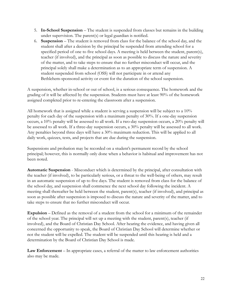- 5. **In-School Suspension** The student is suspended from classes but remains in the building under supervision. The parent(s) or legal guardian is notified.
- 6. **Suspension** The student is removed from class for the balance of the school day, and the student shall after a decision by the principal be suspended from attending school for a specified period of one to five school days. A meeting is held between the student, parent(s), teacher (if involved), and the principal as soon as possible to discuss the nature and severity of the matter, and to take steps to ensure that no further misconduct will occur, and the principal solely shall make a determination as to an appropriate term of suspension. A student suspended from school (OSS) will not participate in or attend any Bethlehem-sponsored activity or event for the duration of the school suspension.

A suspension, whether in-school or out of school, is a serious consequence. The homework and the grading of it will be affected by the suspension. Students must have at least 90% of the homework assigned completed prior to re-entering the classroom after a suspension.

All homework that is assigned while a student is serving a suspension will be subject to a  $10\%$ penalty for each day of the suspension with a maximum penalty of 30%. If a one-day suspension occurs, a 10% penalty will be assessed to all work. If a two-day suspension occurs, a 20% penalty will be assessed to all work. If a three-day suspension occurs, a 30% penalty will be assessed to all work. Any penalties beyond three days will have a 30% maximum reduction. This will be applied to all daily work, quizzes, tests, and projects that are due during the suspension.

Suspensions and probation may be recorded on a student's permanent record by the school principal; however, this is normally only done when a behavior is habitual and improvement has not been noted.

**Automatic Suspension** - Misconduct which is determined by the principal, after consultation with the teacher (if involved), to be particularly serious, or a threat to the well-being of others, may result in an automatic suspension of up to five days. The student is removed from class for the balance of the school day, and suspension shall commence the next school day following the incident. A meeting shall thereafter be held between the student, parent(s), teacher (if involved), and principal as soon as possible after suspension is imposed to discuss the nature and severity of the matter, and to take steps to ensure that no further misconduct will occur.

**Expulsion** – Defined as the removal of a student from the school for a minimum of the remainder of the school year. The principal will set up a meeting with the student, parent(s), teacher (if involved), and the Board of Christian Day School. After hearing the evidence, and having given all concerned the opportunity to speak, the Board of Christian Day School will determine whether or not the student will be expelled. The student will be suspended until this hearing is held and a determination by the Board of Christian Day School is made.

**Law Enforcement** – In appropriate cases, a referral of the matter to law enforcement authorities also may be made.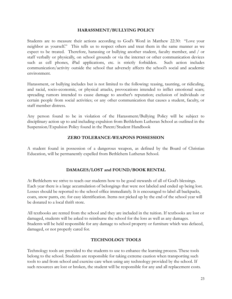## **HARASSMENT/BULLYING POLICY**

Students are to measure their actions according to God's Word in Matthew 22:30: "Love your neighbor as yourself." This tells us to respect others and treat them in the same manner as we expect to be treated. Therefore, harassing or bullying another student, faculty member, and / or staff verbally or physically, on school grounds or via the internet or other communication devices such as cell phones, iPad applications, etc. is strictly forbidden. Such action includes communication/activity outside the school that adversely affects the school's social and academic environment.

Harassment, or bullying includes but is not limited to the following: teasing, taunting, or ridiculing, and racial, socio-economic, or physical attacks, provocations intended to inflict emotional scars; spreading rumors intended to cause damage to another's reputation; exclusion of individuals or certain people from social activities; or any other communication that causes a student, faculty, or staff member distress.

Any person found to be in violation of the Harassment/Bullying Policy will be subject to disciplinary action up to and including expulsion from Bethlehem Lutheran School as outlined in the Suspension/Expulsion Policy found in the Parent/Student Handbook

## **ZERO TOLERANCE-WEAPONS POSSESSION**

A student found in possession of a dangerous weapon, as defined by the Board of Christian Education, will be permanently expelled from Bethlehem Lutheran School.

# **DAMAGES/LOST and FOUND/BOOK RENTAL**

At Bethlehem we strive to teach our students how to be good stewards of all of God's blessings. Each year there is a large accumulation of belongings that were not labeled and ended up being lost. Losses should be reported to the school office immediately. It is encouraged to label all backpacks, coats, snow pants, etc. for easy identification. Items not picked up by the end of the school year will be donated to a local thrift store.

All textbooks are rented from the school and they are included in the tuition. If textbooks are lost or damaged, students will be asked to reimburse the school for the loss as well as any damages. Students will be held responsible for any damage to school property or furniture which was defaced, damaged, or not properly cared for.

## **TECHNOLOGY TOOLS**

Technology tools are provided to the students to use to enhance the learning process. These tools belong to the school. Students are responsible for taking extreme caution when transporting such tools to and from school and exercise care when using any technology provided by the school. If such resources are lost or broken, the student will be responsible for any and all replacement costs.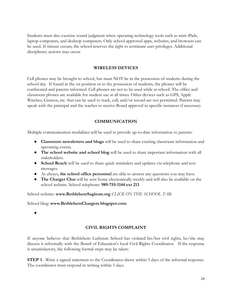Students must also exercise sound judgment when operating technology tools such as mini iPads, laptop computers, and desktop computers. Only school approved apps, websites, and browsers can be used. If misuse occurs, the school reserves the right to terminate user privileges. Additional disciplinary actions may occur.

#### **WIRELESS DEVICES**

Cell phones may be brought to school, but must NOT be in the possession of students during the school day. If found in the on position or in the possession of students, the phones will be confiscated and parents informed. Cell phones are not to be used while at school. The office and classroom phones are available for student use at all times. Other devices such as GPS, Apple Watches, Gizmos, etc. that can be used to track, call, and/or record are not permitted. Parents may speak with the principal and the teacher to receive Board approval in specific instances if necessary.

## **COMMUNICATION**

Multiple communication modalities will be used to provide up-to-date information to parents:

- **Classroom newsletters and blogs** will be used to share exciting classroom information and upcoming events.
- **The school website and school blog** will be used to share important information with all stakeholders.
- **School Reach** will be used to share quick reminders and updates via telephone and text messages.
- As always, **the school office personnel** are able to answer any questions you may have.
- **The Charger Chat** will be sent home electronically weekly and will also be available on the school website. School telephone: **989-755-1144 ext 213**

School website: **www.BethlehemSaginaw.org** *CLICK ON THE SCHOOL TAB.*

School blog: **www.BethlehemChargers.blogspot.com**

●

# **CIVIL RIGHTS COMPLAINT**

If anyone believes that Bethlehem Lutheran School has violated his/her civil rights, he/she may discuss it informally with the Board of Education's local Civil Rights Coordinator. If the response is unsatisfactory, the following formal steps may be taken:

**STEP 1** - Write a signed statement to the Coordinator above within 5 days of the informal response. The coordinator must respond in writing within 5 days.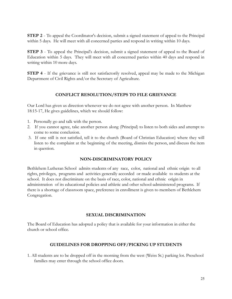**STEP 2** - To appeal the Coordinator's decision, submit a signed statement of appeal to the Principal within 5 days. He will meet with all concerned parties and respond in writing within 10 days.

**STEP 3** - To appeal the Principal's decision, submit a signed statement of appeal to the Board of Education within 5 days. They will meet with all concerned parties within 40 days and respond in writing within 10 more days.

**STEP** 4 - If the grievance is still not satisfactorily resolved, appeal may be made to the Michigan Department of Civil Rights and/or the Secretary of Agriculture.

# **CONFLICT RESOLUTION/STEPS TO FILE GRIEVANCE**

Our Lord has given us direction whenever we do not agree with another person. In Matthew 18:15-17, He gives guidelines, which we should follow:

- 1. Personally go and talk with the person.
- 2. If you cannot agree, take another person along (Principal) to listen to both sides and attempt to come to some conclusion.
- 3. If one still is not satisfied, tell it to the church (Board of Christian Education) where they will listen to the complaint at the beginning of the meeting, dismiss the person, and discuss the item in question.

# **NON-DISCRIMINATORY POLICY**

Bethlehem Lutheran School admits students of any race, color, national and ethnic origin to all rights, privileges, programs and activities generally accorded or made available to students at the school. It does not discriminate on the basis of race, color, national and ethnic origin in administration of its educational policies and athletic and other school-administered programs. If there is a shortage of classroom space, preference in enrollment is given to members of Bethlehem Congregation.

## **SEXUAL DISCRIMINATION**

The Board of Education has adopted a policy that is available for your information in either the church or school office.

# **GUIDELINES FOR DROPPING OFF/PICKING UP STUDENTS**

1. All students are to be dropped off in the morning from the west (Weiss St.) parking lot. Preschool families may enter through the school office doors.